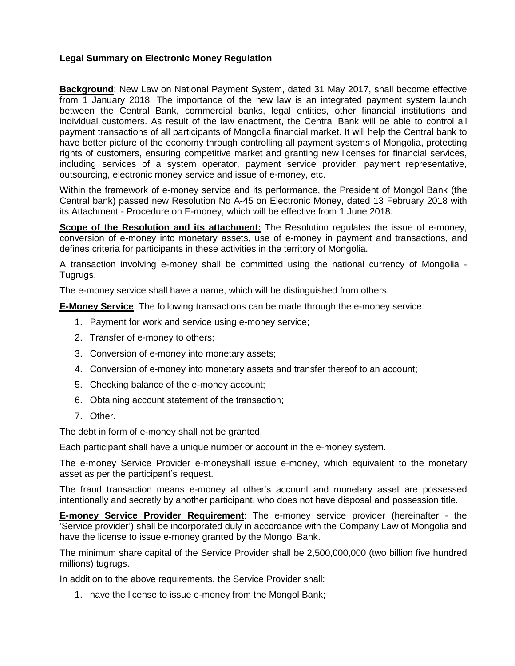## **Legal Summary on Electronic Money Regulation**

**Background**: New Law on National Payment System, dated 31 May 2017, shall become effective from 1 January 2018. The importance of the new law is an integrated payment system launch between the Central Bank, commercial banks, legal entities, other financial institutions and individual customers. As result of the law enactment, the Central Bank will be able to control all payment transactions of all participants of Mongolia financial market. It will help the Central bank to have better picture of the economy through controlling all payment systems of Mongolia, protecting rights of customers, ensuring competitive market and granting new licenses for financial services, including services of a system operator, payment service provider, payment representative, outsourcing, electronic money service and issue of e-money, etc.

Within the framework of e-money service and its performance, the President of Mongol Bank (the Central bank) passed new Resolution No A-45 on Electronic Money, dated 13 February 2018 with its Attachment - Procedure on E-money, which will be effective from 1 June 2018.

**Scope of the Resolution and its attachment:** The Resolution regulates the issue of e-money, conversion of e-money into monetary assets, use of e-money in payment and transactions, and defines criteria for participants in these activities in the territory of Mongolia.

A transaction involving e-money shall be committed using the national currency of Mongolia - Tugrugs.

The e-money service shall have a name, which will be distinguished from others.

**E-Money Service**: The following transactions can be made through the e-money service:

- 1. Payment for work and service using e-money service;
- 2. Transfer of e-money to others;
- 3. Conversion of e-money into monetary assets;
- 4. Conversion of e-money into monetary assets and transfer thereof to an account;
- 5. Checking balance of the e-money account;
- 6. Obtaining account statement of the transaction;
- 7. Other.

The debt in form of e-money shall not be granted.

Each participant shall have a unique number or account in the e-money system.

The e-money Service Provider e-moneyshall issue e-money, which equivalent to the monetary asset as per the participant's request.

The fraud transaction means e-money at other's account and monetary asset are possessed intentionally and secretly by another participant, who does not have disposal and possession title.

**E-money Service Provider Requirement**: The e-money service provider (hereinafter - the 'Service provider') shall be incorporated duly in accordance with the Company Law of Mongolia and have the license to issue e-money granted by the Mongol Bank.

The minimum share capital of the Service Provider shall be 2,500,000,000 (two billion five hundred millions) tugrugs.

In addition to the above requirements, the Service Provider shall:

1. have the license to issue e-money from the Mongol Bank;